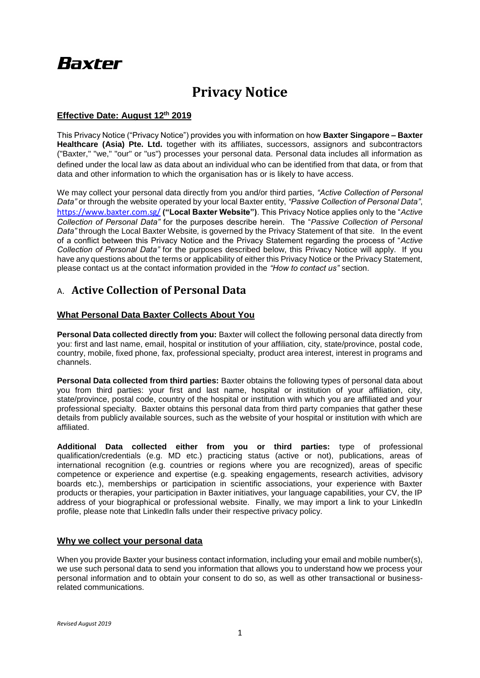# **Baxter**

## **Privacy Notice**

### **Effective Date: August 12th 2019**

This Privacy Notice ("Privacy Notice") provides you with information on how **Baxter Singapore – Baxter Healthcare (Asia) Pte. Ltd.** together with its affiliates, successors, assignors and subcontractors ("Baxter," "we," "our" or "us") processes your personal data. Personal data includes all information as defined under the local law as data about an individual who can be identified from that data, or from that data and other information to which the organisation has or is likely to have access.

We may collect your personal data directly from you and/or third parties, *"Active Collection of Personal Data"* or through the website operated by your local Baxter entity, *"Passive Collection of Personal Data"*, <https://www.baxter.com.sg/> **("Local Baxter Website")**. This Privacy Notice applies only to the "*Active Collection of Personal Data"* for the purposes describe herein. The "*Passive Collection of Personal Data"* through the Local Baxter Website*,* is governed by the Privacy Statement of that site. In the event of a conflict between this Privacy Notice and the Privacy Statement regarding the process of "*Active Collection of Personal Data"* for the purposes described below, this Privacy Notice will apply. If you have any questions about the terms or applicability of either this Privacy Notice or the Privacy Statement, please contact us at the contact information provided in the *"How to contact us"* section.

### A. **Active Collection of Personal Data**

### **What Personal Data Baxter Collects About You**

**Personal Data collected directly from you:** Baxter will collect the following personal data directly from you: first and last name, email, hospital or institution of your affiliation, city, state/province, postal code, country, mobile, fixed phone, fax, professional specialty, product area interest, interest in programs and channels.

**Personal Data collected from third parties:** Baxter obtains the following types of personal data about you from third parties: your first and last name, hospital or institution of your affiliation, city, state/province, postal code, country of the hospital or institution with which you are affiliated and your professional specialty. Baxter obtains this personal data from third party companies that gather these details from publicly available sources, such as the website of your hospital or institution with which are affiliated.

**Additional Data collected either from you or third parties:** type of professional qualification/credentials (e.g. MD etc.) practicing status (active or not), publications, areas of international recognition (e.g. countries or regions where you are recognized), areas of specific competence or experience and expertise (e.g. speaking engagements, research activities, advisory boards etc.), memberships or participation in scientific associations, your experience with Baxter products or therapies, your participation in Baxter initiatives, your language capabilities, your CV, the IP address of your biographical or professional website. Finally, we may import a link to your LinkedIn profile, please note that LinkedIn falls under their respective privacy policy.

### **Why we collect your personal data**

When you provide Baxter your business contact information, including your email and mobile number(s), we use such personal data to send you information that allows you to understand how we process your personal information and to obtain your consent to do so, as well as other transactional or businessrelated communications.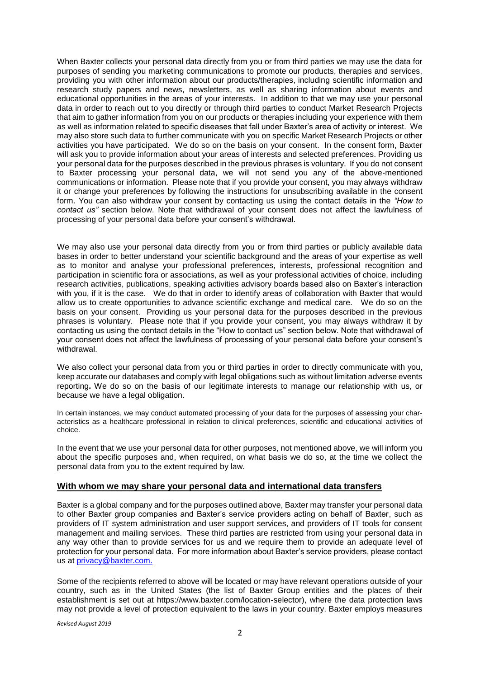When Baxter collects your personal data directly from you or from third parties we may use the data for purposes of sending you marketing communications to promote our products, therapies and services, providing you with other information about our products/therapies, including scientific information and research study papers and news, newsletters, as well as sharing information about events and educational opportunities in the areas of your interests. In addition to that we may use your personal data in order to reach out to you directly or through third parties to conduct Market Research Projects that aim to gather information from you on our products or therapies including your experience with them as well as information related to specific diseases that fall under Baxter's area of activity or interest. We may also store such data to further communicate with you on specific Market Research Projects or other activities you have participated. We do so on the basis on your consent. In the consent form, Baxter will ask you to provide information about your areas of interests and selected preferences. Providing us your personal data for the purposes described in the previous phrases is voluntary. If you do not consent to Baxter processing your personal data, we will not send you any of the above-mentioned communications or information. Please note that if you provide your consent, you may always withdraw it or change your preferences by following the instructions for unsubscribing available in the consent form. You can also withdraw your consent by contacting us using the contact details in the *"How to contact us"* section below. Note that withdrawal of your consent does not affect the lawfulness of processing of your personal data before your consent's withdrawal.

We may also use your personal data directly from you or from third parties or publicly available data bases in order to better understand your scientific background and the areas of your expertise as well as to monitor and analyse your professional preferences, interests, professional recognition and participation in scientific fora or associations, as well as your professional activities of choice, including research activities, publications, speaking activities advisory boards based also on Baxter's interaction with you, if it is the case. We do that in order to identify areas of collaboration with Baxter that would allow us to create opportunities to advance scientific exchange and medical care. We do so on the basis on your consent. Providing us your personal data for the purposes described in the previous phrases is voluntary. Please note that if you provide your consent, you may always withdraw it by contacting us using the contact details in the "How to contact us" section below. Note that withdrawal of your consent does not affect the lawfulness of processing of your personal data before your consent's withdrawal.

We also collect your personal data from you or third parties in order to directly communicate with you, keep accurate our databases and comply with legal obligations such as without limitation adverse events reporting**.** We do so on the basis of our legitimate interests to manage our relationship with us, or because we have a legal obligation.

In certain instances, we may conduct automated processing of your data for the purposes of assessing your characteristics as a healthcare professional in relation to clinical preferences, scientific and educational activities of choice.

In the event that we use your personal data for other purposes, not mentioned above, we will inform you about the specific purposes and, when required, on what basis we do so, at the time we collect the personal data from you to the extent required by law.

### **With whom we may share your personal data and international data transfers**

Baxter is a global company and for the purposes outlined above, Baxter may transfer your personal data to other Baxter group companies and Baxter's service providers acting on behalf of Baxter, such as providers of IT system administration and user support services, and providers of IT tools for consent management and mailing services. These third parties are restricted from using your personal data in any way other than to provide services for us and we require them to provide an adequate level of protection for your personal data. For more information about Baxter's service providers, please contact us at privacy@baxter.com.

Some of the recipients referred to above will be located or may have relevant operations outside of your country, such as in the United States (the list of Baxter Group entities and the places of their establishment is set out at https://www.baxter.com/location-selector), where the data protection laws may not provide a level of protection equivalent to the laws in your country. Baxter employs measures

*Revised August 2019*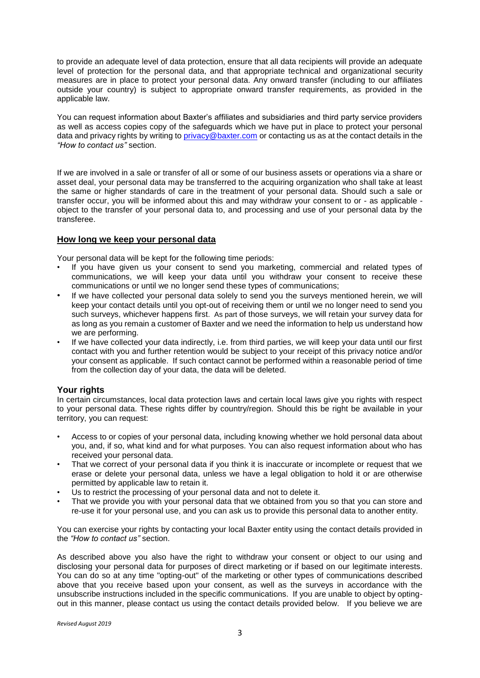to provide an adequate level of data protection, ensure that all data recipients will provide an adequate level of protection for the personal data, and that appropriate technical and organizational security measures are in place to protect your personal data. Any onward transfer (including to our affiliates outside your country) is subject to appropriate onward transfer requirements, as provided in the applicable law.

You can request information about Baxter's affiliates and subsidiaries and third party service providers as well as access copies copy of the safeguards which we have put in place to protect your personal data and privacy rights by writing to [privacy@baxter.com](mailto:privacy@baxter.com) or contacting us as at the contact details in the *"How to contact us"* section.

If we are involved in a sale or transfer of all or some of our business assets or operations via a share or asset deal, your personal data may be transferred to the acquiring organization who shall take at least the same or higher standards of care in the treatment of your personal data. Should such a sale or transfer occur, you will be informed about this and may withdraw your consent to or - as applicable object to the transfer of your personal data to, and processing and use of your personal data by the transferee.

### **How long we keep your personal data**

Your personal data will be kept for the following time periods:

- If you have given us your consent to send you marketing, commercial and related types of communications, we will keep your data until you withdraw your consent to receive these communications or until we no longer send these types of communications;
- If we have collected your personal data solely to send you the surveys mentioned herein, we will keep your contact details until you opt-out of receiving them or until we no longer need to send you such surveys, whichever happens first. As part of those surveys, we will retain your survey data for as long as you remain a customer of Baxter and we need the information to help us understand how we are performing.
- If we have collected your data indirectly, i.e. from third parties, we will keep your data until our first contact with you and further retention would be subject to your receipt of this privacy notice and/or your consent as applicable. If such contact cannot be performed within a reasonable period of time from the collection day of your data, the data will be deleted.

### **Your rights**

In certain circumstances, local data protection laws and certain local laws give you rights with respect to your personal data. These rights differ by country/region. Should this be right be available in your territory, you can request:

- Access to or copies of your personal data, including knowing whether we hold personal data about you, and, if so, what kind and for what purposes. You can also request information about who has received your personal data.
- That we correct of your personal data if you think it is inaccurate or incomplete or request that we erase or delete your personal data, unless we have a legal obligation to hold it or are otherwise permitted by applicable law to retain it.
- Us to restrict the processing of your personal data and not to delete it.
- That we provide you with your personal data that we obtained from you so that you can store and re-use it for your personal use, and you can ask us to provide this personal data to another entity.

You can exercise your rights by contacting your local Baxter entity using the contact details provided in the *"How to contact us"* section.

As described above you also have the right to withdraw your consent or object to our using and disclosing your personal data for purposes of direct marketing or if based on our legitimate interests. You can do so at any time "opting-out" of the marketing or other types of communications described above that you receive based upon your consent, as well as the surveys in accordance with the unsubscribe instructions included in the specific communications. If you are unable to object by optingout in this manner, please contact us using the contact details provided below. If you believe we are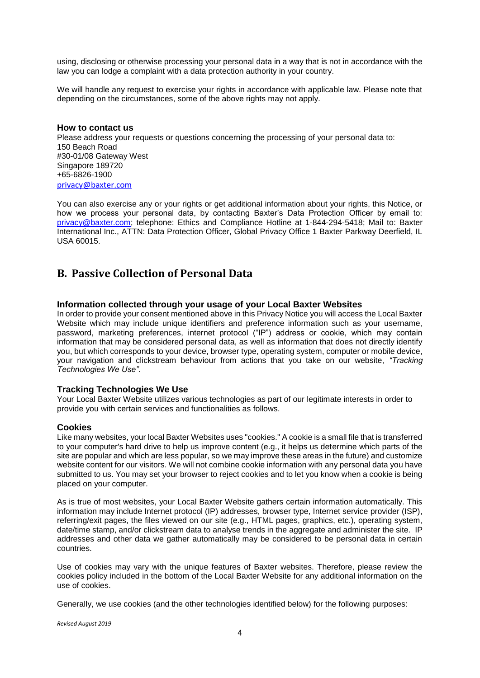using, disclosing or otherwise processing your personal data in a way that is not in accordance with the law you can lodge a complaint with a data protection authority in your country.

We will handle any request to exercise your rights in accordance with applicable law. Please note that depending on the circumstances, some of the above rights may not apply.

### **How to contact us** Please address your requests or questions concerning the processing of your personal data to: 150 Beach Road #30-01/08 Gateway West Singapore 189720 +65-6826-1900

[privacy@baxter.com](mailto:privacy@baxter.com)

You can also exercise any or your rights or get additional information about your rights, this Notice, or how we process your personal data, by contacting Baxter's Data Protection Officer by email to: privacy@baxter.com; telephone: Ethics and Compliance Hotline at 1-844-294-5418; Mail to: Baxter International Inc., ATTN: Data Protection Officer, Global Privacy Office 1 Baxter Parkway Deerfield, IL USA 60015.

### **B. Passive Collection of Personal Data**

### **Information collected through your usage of your Local Baxter Websites**

In order to provide your consent mentioned above in this Privacy Notice you will access the Local Baxter Website which may include unique identifiers and preference information such as your username. password, marketing preferences, internet protocol ("IP") address or cookie, which may contain information that may be considered personal data, as well as information that does not directly identify you, but which corresponds to your device, browser type, operating system, computer or mobile device, your navigation and clickstream behaviour from actions that you take on our website, *"Tracking Technologies We Use"*.

### **Tracking Technologies We Use**

Your Local Baxter Website utilizes various technologies as part of our legitimate interests in order to provide you with certain services and functionalities as follows.

#### **Cookies**

Like many websites, your local Baxter Websites uses "cookies." A cookie is a small file that is transferred to your computer's hard drive to help us improve content (e.g., it helps us determine which parts of the site are popular and which are less popular, so we may improve these areas in the future) and customize website content for our visitors. We will not combine cookie information with any personal data you have submitted to us. You may set your browser to reject cookies and to let you know when a cookie is being placed on your computer.

As is true of most websites, your Local Baxter Website gathers certain information automatically. This information may include Internet protocol (IP) addresses, browser type, Internet service provider (ISP), referring/exit pages, the files viewed on our site (e.g., HTML pages, graphics, etc.), operating system, date/time stamp, and/or clickstream data to analyse trends in the aggregate and administer the site. IP addresses and other data we gather automatically may be considered to be personal data in certain countries.

Use of cookies may vary with the unique features of Baxter websites. Therefore, please review the cookies policy included in the bottom of the Local Baxter Website for any additional information on the use of cookies.

Generally, we use cookies (and the other technologies identified below) for the following purposes:

*Revised August 2019*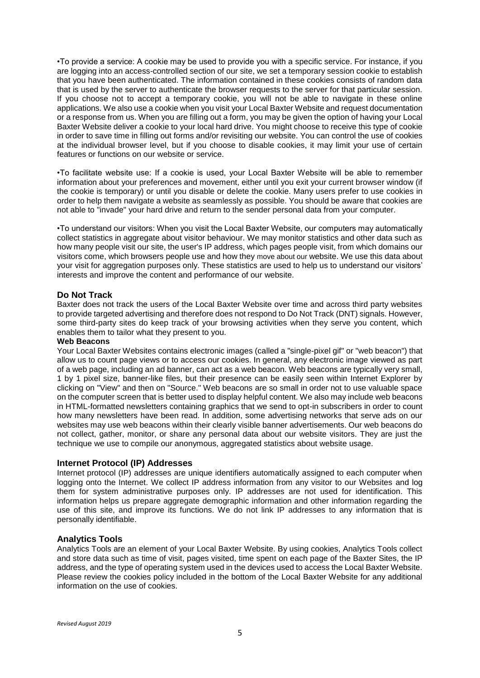•To provide a service: A cookie may be used to provide you with a specific service. For instance, if you are logging into an access-controlled section of our site, we set a temporary session cookie to establish that you have been authenticated. The information contained in these cookies consists of random data that is used by the server to authenticate the browser requests to the server for that particular session. If you choose not to accept a temporary cookie, you will not be able to navigate in these online applications. We also use a cookie when you visit your Local Baxter Website and request documentation or a response from us. When you are filling out a form, you may be given the option of having your Local Baxter Website deliver a cookie to your local hard drive. You might choose to receive this type of cookie in order to save time in filling out forms and/or revisiting our website. You can control the use of cookies at the individual browser level, but if you choose to disable cookies, it may limit your use of certain features or functions on our website or service.

•To facilitate website use: If a cookie is used, your Local Baxter Website will be able to remember information about your preferences and movement, either until you exit your current browser window (if the cookie is temporary) or until you disable or delete the cookie. Many users prefer to use cookies in order to help them navigate a website as seamlessly as possible. You should be aware that cookies are not able to "invade" your hard drive and return to the sender personal data from your computer.

•To understand our visitors: When you visit the Local Baxter Website, our computers may automatically collect statistics in aggregate about visitor behaviour. We may monitor statistics and other data such as how many people visit our site, the user's IP address, which pages people visit, from which domains our visitors come, which browsers people use and how they move about our website. We use this data about your visit for aggregation purposes only. These statistics are used to help us to understand our visitors' interests and improve the content and performance of our website.

### **Do Not Track**

Baxter does not track the users of the Local Baxter Website over time and across third party websites to provide targeted advertising and therefore does not respond to Do Not Track (DNT) signals. However, some third-party sites do keep track of your browsing activities when they serve you content, which enables them to tailor what they present to you.

### **Web Beacons**

Your Local Baxter Websites contains electronic images (called a "single-pixel gif" or "web beacon") that allow us to count page views or to access our cookies. In general, any electronic image viewed as part of a web page, including an ad banner, can act as a web beacon. Web beacons are typically very small, 1 by 1 pixel size, banner-like files, but their presence can be easily seen within Internet Explorer by clicking on "View" and then on "Source." Web beacons are so small in order not to use valuable space on the computer screen that is better used to display helpful content. We also may include web beacons in HTML-formatted newsletters containing graphics that we send to opt-in subscribers in order to count how many newsletters have been read. In addition, some advertising networks that serve ads on our websites may use web beacons within their clearly visible banner advertisements. Our web beacons do not collect, gather, monitor, or share any personal data about our website visitors. They are just the technique we use to compile our anonymous, aggregated statistics about website usage.

### **Internet Protocol (IP) Addresses**

Internet protocol (IP) addresses are unique identifiers automatically assigned to each computer when logging onto the Internet. We collect IP address information from any visitor to our Websites and log them for system administrative purposes only. IP addresses are not used for identification. This information helps us prepare aggregate demographic information and other information regarding the use of this site, and improve its functions. We do not link IP addresses to any information that is personally identifiable.

### **Analytics Tools**

Analytics Tools are an element of your Local Baxter Website. By using cookies, Analytics Tools collect and store data such as time of visit, pages visited, time spent on each page of the Baxter Sites, the IP address, and the type of operating system used in the devices used to access the Local Baxter Website. Please review the cookies policy included in the bottom of the Local Baxter Website for any additional information on the use of cookies.